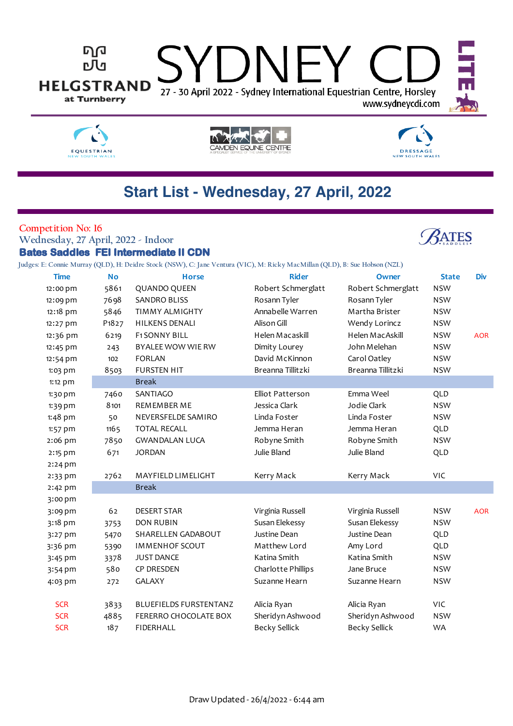





# **DRESSAGE** NEW SOUTH WALES

**ATES** 

# **Start List - Wednesday, 27 April, 2022**

### **Competition No: 16**

**Wednesday, 27 April, 2022 - Indoor Bates Saddles FEI Intermediate II CDN**

**Judges: E: Connie Murray (QLD), H: Deidre Stock (NSW), C: Jane Ventura (VIC), M: Ricky MacMillan (QLD), B: Sue Hobson (NZL)**

| <b>Time</b> | <b>No</b>                      | <b>Horse</b>                  | <b>Rider</b>         | Owner                | <b>State</b> | <b>Div</b> |
|-------------|--------------------------------|-------------------------------|----------------------|----------------------|--------------|------------|
| 12:00 pm    | 5861                           | QUANDO QUEEN                  | Robert Schmerglatt   | Robert Schmerglatt   | <b>NSW</b>   |            |
| 12:09 pm    | 7698                           | SANDRO BLISS                  | Rosann Tyler         | Rosann Tyler         | <b>NSW</b>   |            |
| 12:18 pm    | 5846                           | <b>TIMMY ALMIGHTY</b>         | Annabelle Warren     | Martha Brister       | <b>NSW</b>   |            |
| 12:27 pm    | P <sub>1</sub> 8 <sub>27</sub> | <b>HILKENS DENALI</b>         | Alison Gill          | Wendy Lorincz        | <b>NSW</b>   |            |
| 12:36 pm    | 6219                           | <b>F1 SONNY BILL</b>          | Helen Macaskill      | Helen MacAskill      | <b>NSW</b>   | <b>AOR</b> |
| 12:45 pm    | 243                            | BYALEE WOW WIE RW             | Dimity Lourey        | John Melehan         | <b>NSW</b>   |            |
| 12:54 pm    | 102                            | <b>FORLAN</b>                 | David McKinnon       | Carol Oatley         | <b>NSW</b>   |            |
| 1:03 pm     | 8503                           | <b>FURSTEN HIT</b>            | Breanna Tillitzki    | Breanna Tillitzki    | <b>NSW</b>   |            |
| 1:12 pm     |                                | <b>Break</b>                  |                      |                      |              |            |
| 1:30 pm     | 7460                           | SANTIAGO                      | Elliot Patterson     | Emma Weel            | QLD          |            |
| $1:39$ pm   | 8101                           | REMEMBER ME                   | Jessica Clark        | Jodie Clark          | <b>NSW</b>   |            |
| 1:48 pm     | 50                             | NEVERSFELDE SAMIRO            | Linda Foster         | Linda Foster         | <b>NSW</b>   |            |
| 1:57 pm     | 1165                           | <b>TOTAL RECALL</b>           | Jemma Heran          | Jemma Heran          | QLD          |            |
| 2:06 pm     | 7850                           | <b>GWANDALAN LUCA</b>         | Robyne Smith         | Robyne Smith         | <b>NSW</b>   |            |
| 2:15 pm     | 671                            | <b>JORDAN</b>                 | Julie Bland          | Julie Bland          | QLD          |            |
| $2:24$ pm   |                                |                               |                      |                      |              |            |
| 2:33 pm     | 2762                           | MAYFIELD LIMELIGHT            | Kerry Mack           | Kerry Mack           | VIC          |            |
| $2:42$ pm   |                                | <b>Break</b>                  |                      |                      |              |            |
| 3:00 pm     |                                |                               |                      |                      |              |            |
| 3:09 pm     | 62                             | <b>DESERT STAR</b>            | Virginia Russell     | Virginia Russell     | <b>NSW</b>   | <b>AOR</b> |
| 3:18 pm     | 3753                           | <b>DON RUBIN</b>              | Susan Elekessy       | Susan Elekessy       | <b>NSW</b>   |            |
| 3:27 pm     | 5470                           | SHARELLEN GADABOUT            | Justine Dean         | Justine Dean         | QLD          |            |
| 3:36 pm     | 5390                           | <b>IMMENHOF SCOUT</b>         | Matthew Lord         | Amy Lord             | QLD          |            |
| 3:45 pm     | 3378                           | <b>JUST DANCE</b>             | Katina Smith         | Katina Smith         | <b>NSW</b>   |            |
| 3:54 pm     | 580                            | <b>CP DRESDEN</b>             | Charlotte Phillips   | Jane Bruce           | <b>NSW</b>   |            |
| 4:03 pm     | 272                            | <b>GALAXY</b>                 | Suzanne Hearn        | Suzanne Hearn        | <b>NSW</b>   |            |
| <b>SCR</b>  | 3833                           | <b>BLUEFIELDS FURSTENTANZ</b> | Alicia Ryan          | Alicia Ryan          | VIC          |            |
| <b>SCR</b>  | 4885                           | FERERRO CHOCOLATE BOX         | Sheridyn Ashwood     | Sheridyn Ashwood     | <b>NSW</b>   |            |
| <b>SCR</b>  | 187                            | <b>FIDERHALL</b>              | <b>Becky Sellick</b> | <b>Becky Sellick</b> | <b>WA</b>    |            |